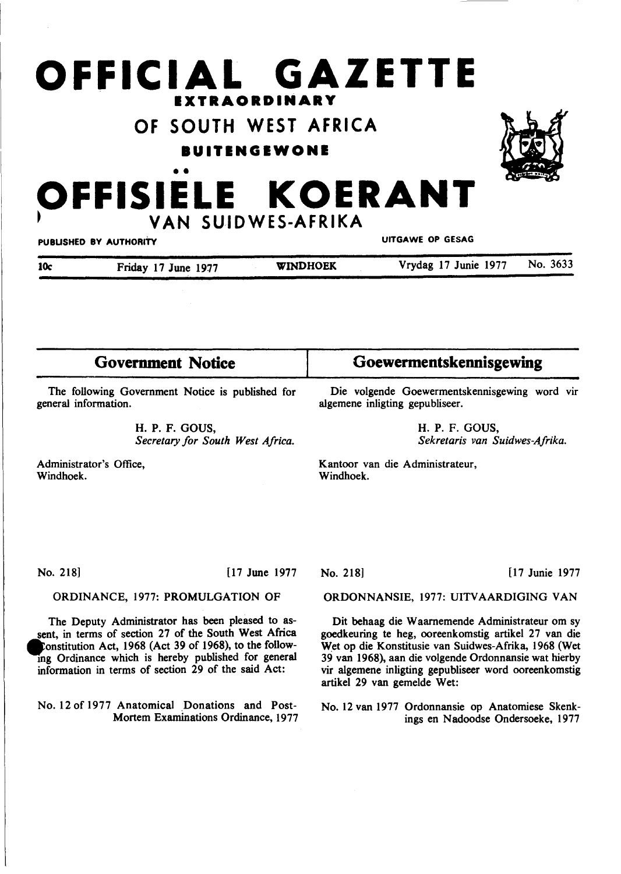# **OFFICIAL GAZETTE IXTRAORDINARY**

# **OF SOUTH WEST AFRICA**

**BUITENGEWONE** 



# •• **OFFISIELE KOERANT** <sup>~</sup>**VAN SUIDWES-AFRIKA**

| PUBLISHED BY AUTHORITY |                     | UITGAWE OP GESAG |                      |          |
|------------------------|---------------------|------------------|----------------------|----------|
| 10c                    | Friday 17 June 1977 | <b>WINDHOEK</b>  | Vrydag 17 Junie 1977 | No. 3633 |

| <b>Government Notice</b>                                                                                                                                                                                                                                                           | Goewermentskennisgewing                                                                                                                                                                                                                                                                                          |  |  |
|------------------------------------------------------------------------------------------------------------------------------------------------------------------------------------------------------------------------------------------------------------------------------------|------------------------------------------------------------------------------------------------------------------------------------------------------------------------------------------------------------------------------------------------------------------------------------------------------------------|--|--|
| The following Government Notice is published for<br>general information.                                                                                                                                                                                                           | Die volgende Goewermentskennisgewing word vir<br>algemene inligting gepubliseer.                                                                                                                                                                                                                                 |  |  |
| H. P. F. GOUS,<br>Secretary for South West Africa.                                                                                                                                                                                                                                 | H. P. F. GOUS,<br>Sekretaris van Suidwes-Afrika.                                                                                                                                                                                                                                                                 |  |  |
| Administrator's Office,<br>Windhoek.                                                                                                                                                                                                                                               | Kantoor van die Administrateur,<br>Windhoek.                                                                                                                                                                                                                                                                     |  |  |
|                                                                                                                                                                                                                                                                                    |                                                                                                                                                                                                                                                                                                                  |  |  |
| No. 218]<br>$[17 \text{ June } 1977]$                                                                                                                                                                                                                                              | [17 Junie 1977<br>No. 218                                                                                                                                                                                                                                                                                        |  |  |
| ORDINANCE, 1977: PROMULGATION OF                                                                                                                                                                                                                                                   | ORDONNANSIE, 1977: UITVAARDIGING VAN                                                                                                                                                                                                                                                                             |  |  |
| The Deputy Administrator has been pleased to as-<br>sent, in terms of section 27 of the South West Africa<br>'onstitution Act, 1968 (Act 39 of 1968), to the follow-<br>ing Ordinance which is hereby published for general<br>information in terms of section 29 of the said Act: | Dit behaag die Waarnemende Administrateur om sy<br>goedkeuring te heg, ooreenkomstig artikel 27 van die<br>Wet op die Konstitusie van Suidwes-Afrika, 1968 (Wet<br>39 van 1968), aan die volgende Ordonnansie wat hierby<br>vir algemene inligting gepubliseer word ooreenkomstig<br>artikel 29 van gemelde Wet: |  |  |
| No. 12 of 1977 Anatomical Donations and Post-                                                                                                                                                                                                                                      | No. 12 van 1977 Ordonnansie op Anatomiese Skenk-                                                                                                                                                                                                                                                                 |  |  |

Mortem Examinations Ordinance, 1977

No. 12 van 1977 Ordonnansie op Anatomiese Skenkings en Nadoodse Ondersoeke, 1977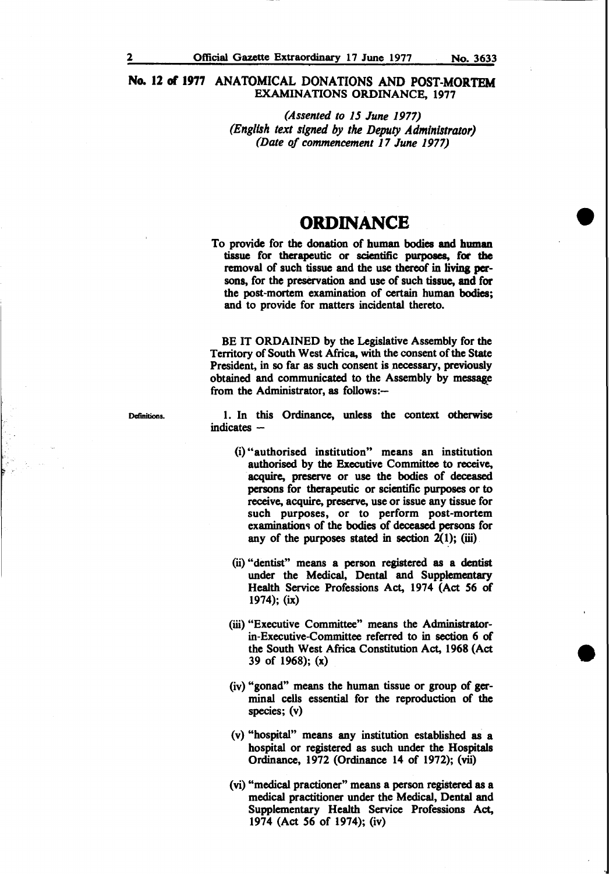*(Assented to 15 June 1977) (English text signed* by *the Deputy Administrator) (Date of commencement 17 June 1977)* 

# **ORDINANCE**

To provide for the donation of human bodies and human tissue for therapeutic or scientific purposes, for the removal of such tissue and the use thereof in living persons, for the preservation and use of such tissue, and for the post-mortem examination of certain human bodies; and to provide for matters incidental thereto.

BE IT ORDAINED by the Legislative Assembly for the Territory of South West Africa, with the consent of the State President, in so far as such consent is necessary, previously obtained and communicated to the Assembly by message from the Administrator, as follows:--

**Definitions** 

1. In this Ordinance, unless the context otherwise  $indicates -$ 

- (i) "authorised institution" means an institution authorised by the Executive Committee to receive, acquire, preserve or use the bodies of deceased persons for therapeutic or scientific purposes or to receive, acquire, preserve, use or issue any tissue for such purposes, or to perform post-mortem examinations of the bodies of deceased persons for any of the purposes stated in section  $2(1)$ ; (iii)
- (ii) "dentist" means a person registered as a dentist under the Medical, Dental and Supplementary Health Service Professions Act, 1974 (Act 56 of 1974); (ix)
- (iii) "Executive Committee" means the Administratorin-Executive-Committee referred to in section 6 of the South West Africa Constitution Act, 1968 (Act 39 of 1968); (x)
- (iv) "gonad" means the human tissue or group of germinal cells essential for the reproduction of the species; (v)
- (v) "hospital" means any institution established as a hospital or registered as such under the Hospitals Ordinance, 1972 (Ordinance 14 of 1972); (vii)
- (vi) "medical practioner" means a person registered as a medical practitioner under the Medical, Dental and Supplementary Health Service Professions Act, 1974 (Act 56 of 1974); (iv)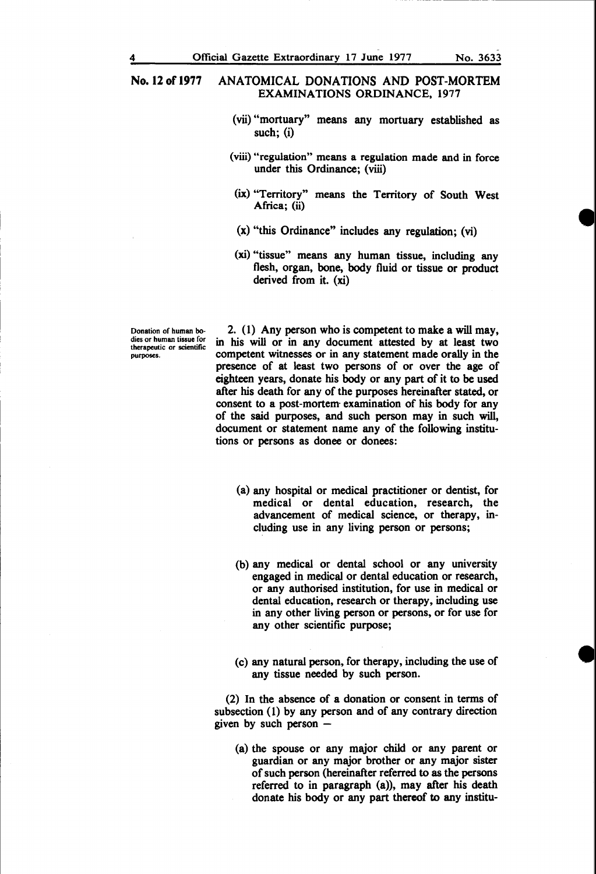- (vii) "mortuary" means any mortuary established as such; (i)
- (viii) "regulation" means a regulation made and in force under this Ordinance; (viii)
- (ix) "Territory" means the Territory of South West Africa; (ii)
- (x) "this Ordinance" includes any regulation; (vi)
- (xi) "tissue" means any human tissue, including any flesh, organ, bone, body fluid or tissue or product derived from it. (xi)

Donation of human bodies or human tissue for therapeutic or scientific purposes.

2. (1) Any person who is competent to make a will may, in his will or in any document attested by at least two competent witnesses or in any statement made orally in the presence of at least two persons of or over the age of eighteen years, donate his body or any part of it to be used after his death for any of the purposes hereinafter stated, or consent to a post-mortem- examination of his body for any of the said purposes, and such person may in such will, document or statement name any of the following institutions or persons as donee or donees:

- (a) any hospital or medical practitioner or dentist, for medical or dental education, research, the advancement of medical science, or therapy, including use in any living person or persons;
- (b) any medical or dental school or any university engaged in medical or dental education or research, or any authorised institution, for use in medical or dental education, research or therapy, including use in any other living person or persons, or for use for any other scientific purpose;
- (c) any natural person, for therapy, including the use of any tissue needed by such person.

(2) In the absence of a donation or consent in terms of subsection (1) by any person and of any contrary direction given by such person  $-$ 

(a) the spouse or any major child or any parent or guardian or any major brother or any major sister of such person (hereinafter referred to as the persons referred to in paragraph (a)), may after his death donate his body or any part thereof to any institu-

----------- ----------,,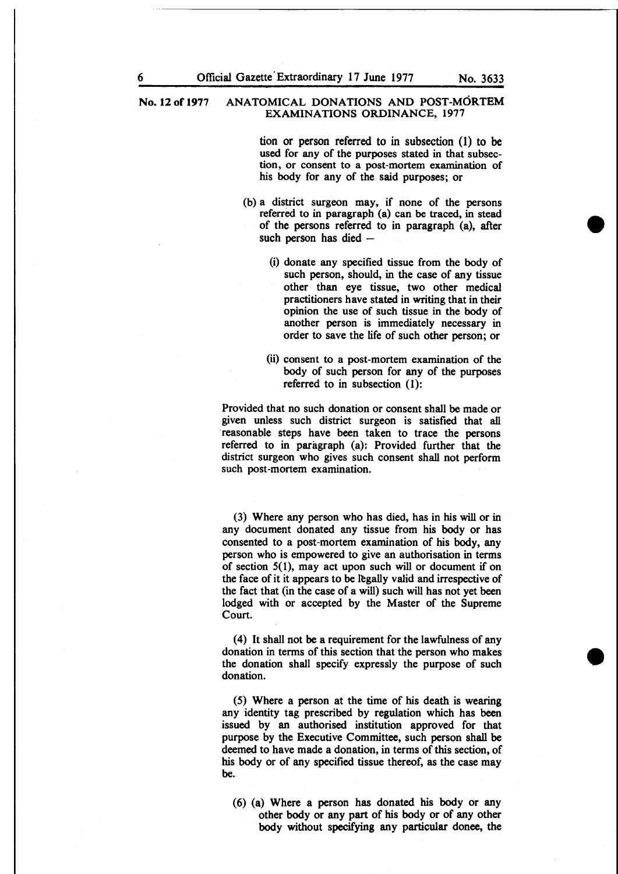> tion or person referred to in subsection (1) to be used for any of the purposes stated in that subsection, or consent to a post-mortem examination of his body for any of the said purposes; or

- (b) a district surgeon may, if none of the persons referred to in paragraph (a) can be traced, in stead of the persons referred to in paragraph (a), after such person has died  $-$ 
	- (i) donate any specified tissue from the body of such person, should, in the case of any tissue other than eye tissue, two other medical practitioners have stated in writing that in their opinion the use of such tissue in the body of another person is immediately necessary in order to save the life of such other person; or
	- (ii) consent to a post-mortem examination of the body of such person for any of the purposes referred to in subsection (1):

Provided that no such donation or consent shall be made or given unless such district surgeon is satisfied that all reasonable steps have been taken to trace the persons referred to in paragraph (a): Provided further that the district surgeon who gives such consent shall not perform such post-mortem examination.

(3) Where any person who has died, has in his will or in any document donated any tissue from his body or has consented to a post-mortem examination of his body, any person who is empowered to give an authorisation in terms of section 5(1), may act upon such will or document if on the face of it it appears to be legally valid and irrespective of the fact that (in the case of a will) such will has not yet been lodged with or accepted by the Master of the Supreme Court.

(4) It shall not be a requirement for the lawfulness of any donation in terms of this section that the person who makes the donation shall specify expressly the purpose of such donation.

(5) Where a person at the time of his death is wearing any identity tag prescribed by regulation which has been issued by an authorised institution approved for that purpose by the Executive Committee, such person shall be deemed to have made a donation, in terms of this section, of his body or of any specified tissue thereof, as the case may be.

(6) (a) Where a person has donated his body or any other body or any part of his body or of any other body without specifying any particular donee, the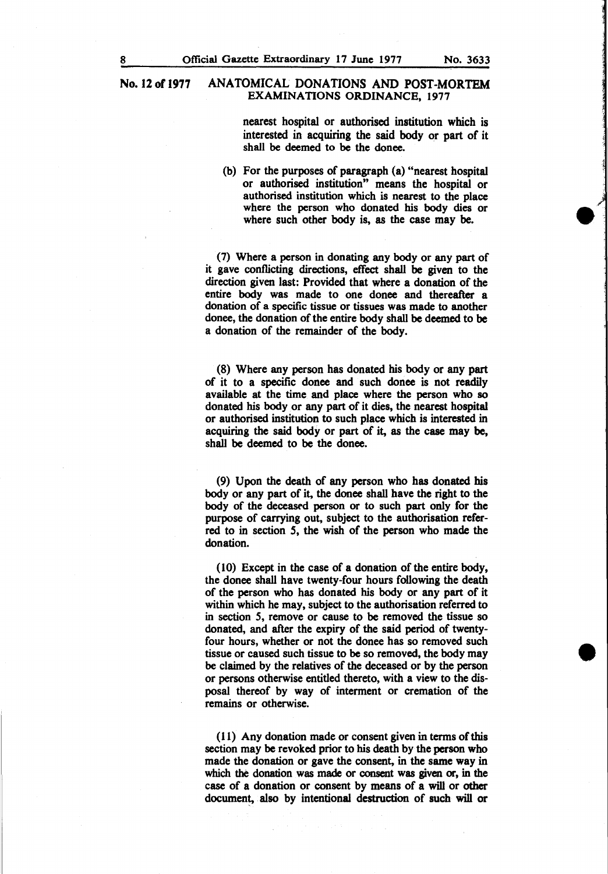> nearest hospital or authorised institution which is interested in acquiring the said body or part of it shall be deemed to be the donee.

(b) For the purposes of paragraph (a) "nearest hospital or authorised institution" means the hospital or authorised institution which is nearest to the place where the person who donated his body dies or where such other body is, as the case may be.

(7) Where a person in donating any body or any part of it gave conflicting directions, effect shall be given to the direction given last: Provided that where a donation of the entire body was made to one donee and thereafter a donation of a specific tissue or tissues was made to another donee, the donation of the entire body shall be deemed to be a donation of the remainder of the body.

(8) Where any person has donated his body or any part of it to a specific donee and such donee is not readily available at the time and place where the person who so donated his body or any part of it dies, the nearest hospital or authorised institution to such place which is interested in acquiring the said body or part of it, as the case may be, shall be deemed to be the donee.

(9) Upon the death of any person who has donated his body or any part of it, the donee shall have the right to the body of the deceased person or to such part only for the purpose of carrying out, subject to the authorisation referred to in section *5,* the wish of the person who made the donation.

(10) Except in the case of a donation of the entire body, the donee shall have twenty-four hours following the death of the person who has donated his body or any part of it within which he may, subject to the authorisation referred to in section *5,* remove or cause to be removed the tissue so donated, and after the expiry of the said period of twentyfour hours, whether or not the donee has so removed such tissue or caused such tissue to be so removed, the body may be claimed by the relatives of the deceased or by the person or persons otherwise entitled thereto, with a view to the disposal thereof by way of interment or cremation of the remains or otherwise.

(11) Any donation made or consent given in terms ofthis section may be revoked prior to his death by the person who made the donation or gave the consent, in the same way in which the donation was made or consent was given or, in the case of a donation or consent by means of a will or other document, also by intentional destruction of such will or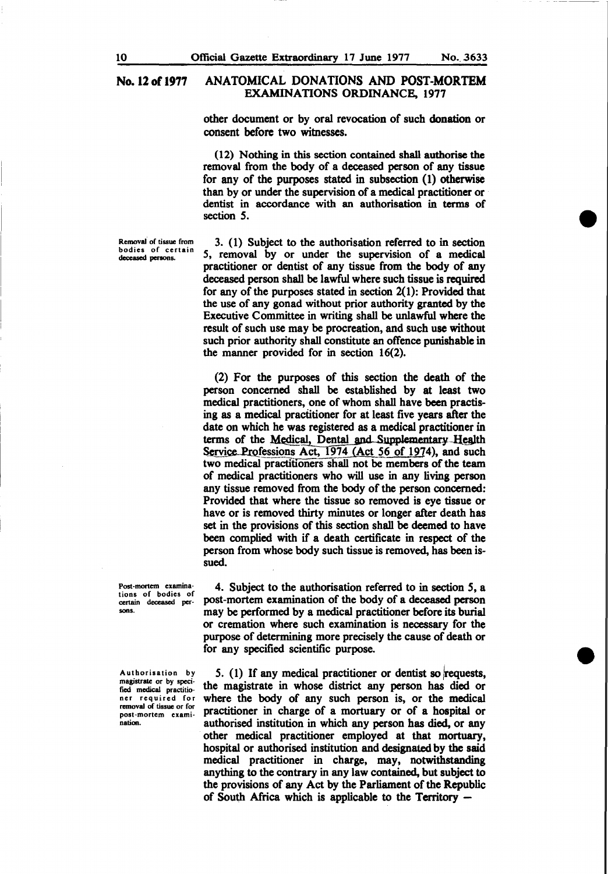other document or by oral revocation of such donation or consent before two witnesses.

(12) Nothing in this section contained shall authorise the removal from the body of a deceased person of any tissue for any of the purposes stated in subsection (1) otherwise than by or under the supervision of a medical practitioner or dentist in accordance with an authorisation in terms of section *S.* 

Removal of tissue from bodies of certain deceased persons.

3. (1) Subject to the authorisation referred to in section *S,* removal by or under the supervision of a medical practitioner or dentist of any tissue from the body of any deceased person shall be lawful where such tissue is required for any of the purposes stated in section  $2(1)$ : Provided that the use of any gonad without prior authority granted by the Executive Committee in writing shall be unlawful where the result of such use may be procreation, and such use without such prior authority shall constitute an offence punishable in the manner provided for in section 16(2).

(2) For the purposes of this section the death of the person concerned shall be established by at least two medical practitioners, one of whom shall have been practising as a medical practitioner for at least five years after the date on which he was registered as a medical practitioner in terms of the Medical, Dental and Supplementary Health Service Professions Act, 1974 (Act 56 of 1974), and such two medical practitioners shall not be members of the team of medical practitioners who will use in any living person any tissue removed from the body of the person concerned: Provided that where the tissue so removed is eye tissue or have or is removed thirty minutes or longer after death has set in the provisions of this section shall be deemed to have been complied with if a death certificate in respect of the person from whose body such tissue is removed, has been issued.

4. Subject to the authorisation referred to in section 5, a post-mortem examination of the body of a deceased person may be performed by a medical practitioner before its burial or cremation where such examination is necessary for the purpose of determining more precisely the cause of death or for any specified scientific purpose.

5. (1) If any medical practitioner or dentist so requests, the magistrate in whose district any person has died or where the body of any such person is, or the medical practitioner in charge of a mortuary or of a hospital or authorised institution in which any person has died, or any other medical practitioner employed at that mortuary, hospital or authorised institution and designated by the said medical practitioner in charge, may, notwithstanding anything to the contrary in any law contained, but subject to the provisions of any Act by the Parliament of the Republic of South Africa which is applicable to the Territory -

Post-mortem examinations of bodies of certain deceased persons.

Authorisation by magistrate or by specified medical practitioner required for removal of tissue or for post-mortem examination.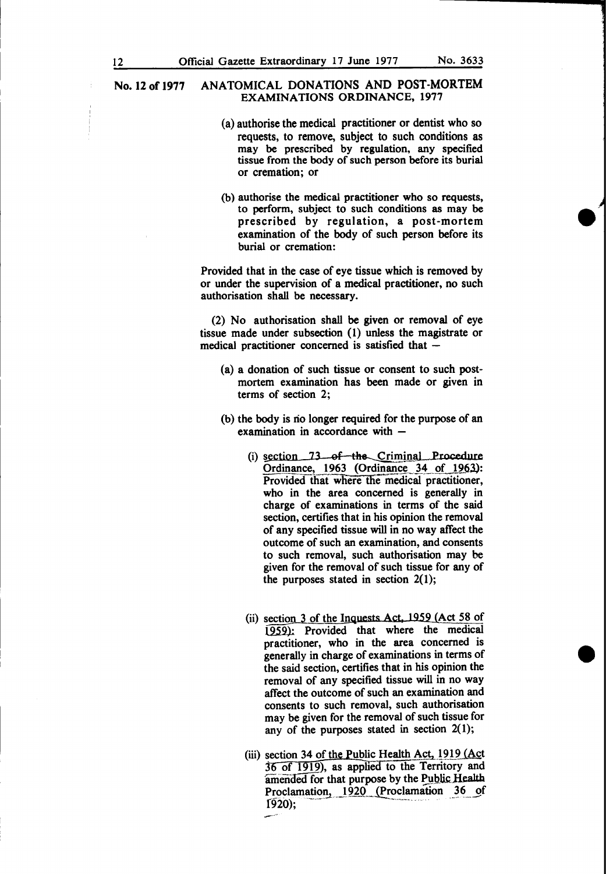- (a) authorise the medical practitioner or dentist who so requests, to remove, subject to such conditions as may be prescribed by regulation, any specified tissue from the body of such person before its burial or cremation; or
- (b) authorise the medical practitioner who so requests, to perform, subject to such conditions as may be prescribed by regulation, a post-mortem examination of the body of such person before its burial or cremation:

Provided that in the case of eye tissue which is removed by or under the supervision of a medical practitioner, no such authorisation shall be necessary.

(2) No authorisation shall be given or removal of eye tissue made under subsection ( 1) unless the magistrate or medical practitioner concerned is satisfied that  $-$ 

- (a) a donation of such tissue or consent to such postmortem examination has been made or given in terms of section 2;
- (b) the body is rio longer required for the purpose of an examination in accordance with  $-$ 
	- (i)  $section$  73 of the Criminal Procedure Ordinance, 1963 (Ordinance 34 of 1963,): Provided that where the medical practitioner, who in the area concerned is generally in charge of examinations in terms of the said section, certifies that in his opinion the removal of any specified tissue will in no way affect the outcome of such an examination, and consents to such removal, such authorisation may be given for the removal of such tissue for any of the purposes stated in section  $2(1)$ ;
	- (ii) section  $3$  of the Inquests Act, 1959 (Act 58 of 1959): Provided that where the medical practitioner, who in the area concerned is generally in charge of examinations in terms of the said section, certifies that in his opinion the removal of any specified tissue will in no way affect the outcome of such an examination and consents to such removal, such authorisation may be given for the removal of such tissue for any of the purposes stated in section  $2(1)$ ;
	- (iii) section 34 of the Public Health Act,  $1919$  (Act 36 of 1919), as applied to the Territory and amended for that purpose by the Public Health. Proclamation,  $1920$  (Proclamation 36 of 1920);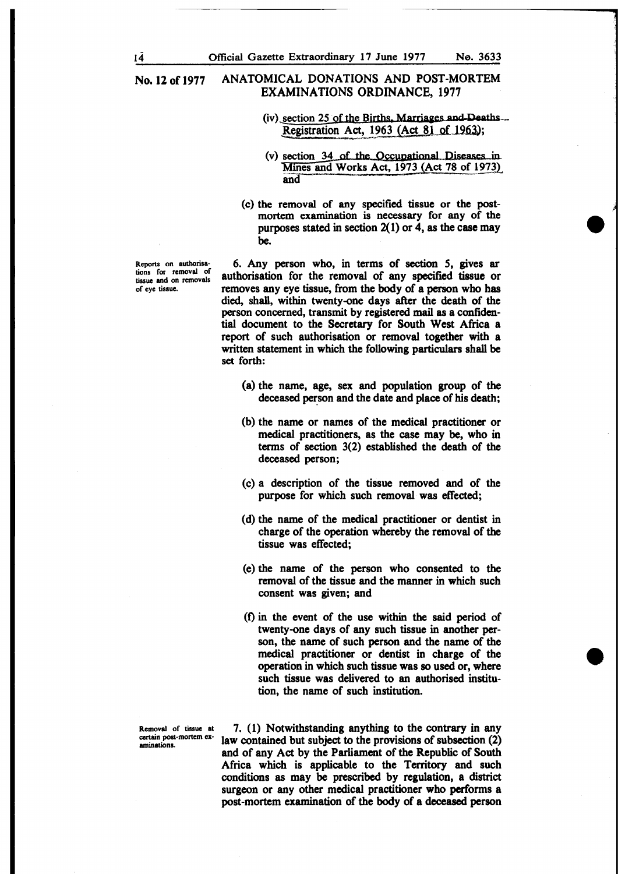- $(iv)$  section 25 of the Births, Marriages and Deaths... Registration Act. 1963 (Act 81 of 1963);
- $(v)$  section 34 of the Occupational Diseases in Mines and Works Act,  $1973$  (Act 78 of 1973).
- (c) the removal of any specified tissue or the postmortem examination is necessary for any of the purposes stated in section  $2(1)$  or 4, as the case may be.

6. Any person who, in terms of section 5, gives ar authorisation for the removal of any specified tissue or removes any eye tissue, from the body of a person who has died, shall, within twenty-one days after the death of the person concerned, transmit by registered mail as a confidential document to the Secretary for South West Africa a report of such authorisation or removal together with a written statement in which the following particulars shall be set forth:

- (a) the name, age, sex and population group of the deceased person and the date and place of his death;
- (b) the name or names of the medical practitioner or medical practitioners, as the case may be, who in terms of section 3(2) established the death of the deceased person;
- (c) a description of the tissue removed and of the purpose for which such removal was effected;
- (d) the name of the medical practitioner or dentist in charge of the operation whereby the removal of the tissue was effected;
- (e) the name of the person who consented to the removal of the tissue and the manner in which such consent was given; and
- (t) in the event of the use within the said period of twenty-one days of any such tissue in another person, the name of such person and the name of the medical practitioner or dentist in charge of the operation in which such tissue was so used or, where such tissue was delivered to an authorised institution, the name of such institution.

Removal of tissue at certain post-mortem examinations-

7. (1) Notwithstanding anything to the contrary in any law contained but subject to the provisions of subsection (2) and of any Act by the Parliament of the Republic of South Africa which is applicable to the Territory and such conditions as may be prescribed by regulation, a district surgeon or any other medical practitioner who performs a post-mortem examination of the body of a deceased person

Reports on authorisations for removal of tissue and on removals of eye tissue-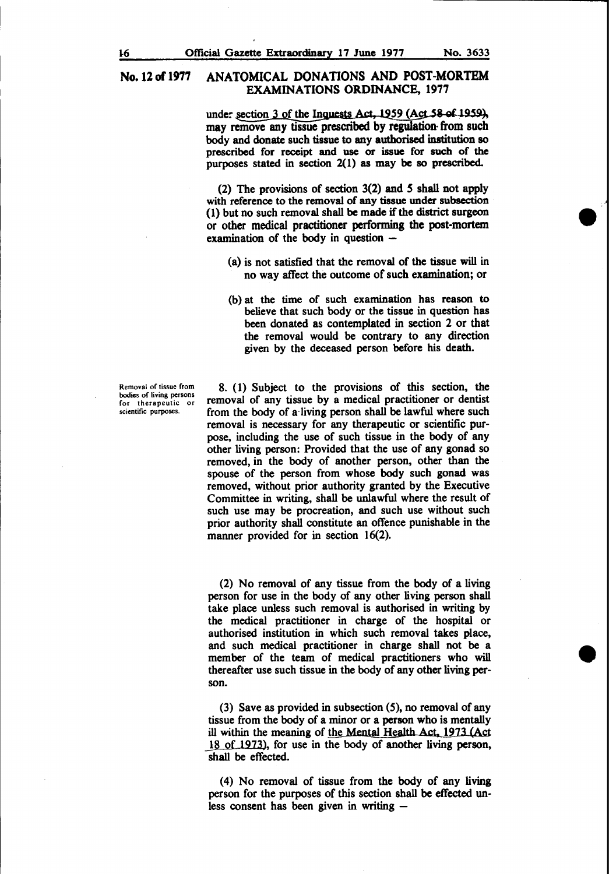under section 3 of the Inquests Act, 1959 (Act 58 of 1959), may remove any tissue prescribed by regulation· from such body and donate such tissue to any authorised institution so prescribed for receipt and use or issue for such of the purposes stated in section 2(1) as may be so prescribed.

(2) The provisions of section 3(2) and *S* shall not apply with reference to the removal of any tissue under subsection (1) but no such removal shall be made if the district surgeon or other medical practitioner performing the post-mortem examination of the body in question  $-$ 

- (a) is not satisfied that the removal of the tissue will in no way affect the outcome of such examination; or
- (b) at the time of such examination has reason to believe that such body or the tissue in question has been donated as contemplated in section 2 or that the removal would be contrary to any direction given by the deceased person before his death.

Removal of tissue from bodies or living persons for therapeutic or scientific purposes.

8. (1) Subject to the provisions of this section, the removal of any tissue by a medical practitioner or dentist from the body of a· living person shall be lawful where such removal is necessary for any therapeutic or scientific purpose, including the use of such tissue in the body of any other living person: Provided that the use of any gonad so removed, in the body of another person, other than the spouse of the person from whose body such gonad was removed, without prior authority granted by the Executive Committee in writing, shall be unlawful where the result of such use may be procreation, and such use without such prior authority shall constitute an offence punishable in the manner provided for in section 16(2).

(2) No removal of any tissue from the body of a living person for use in the body of any other living person shall take place unless such removal is authorised in writing by the medical practitioner in charge of the hospital or authorised institution in which such removal takes place, and such medical practitioner in charge shall not be a member of the team of medical practitioners who will thereafter use such tissue in the body of any other living person.

(3) Save as provided in subsection (5), no removal of any tissue from the body of a minor or a person who is mentally ill within the meaning of the Mental Health Act, 1973 (Act 18 of 1973), for use in the body of another living person, shall be effected.

(4) No removal of tissue from the body of any living person for the purposes of this section shall be effected unless consent has been given in writing  $-$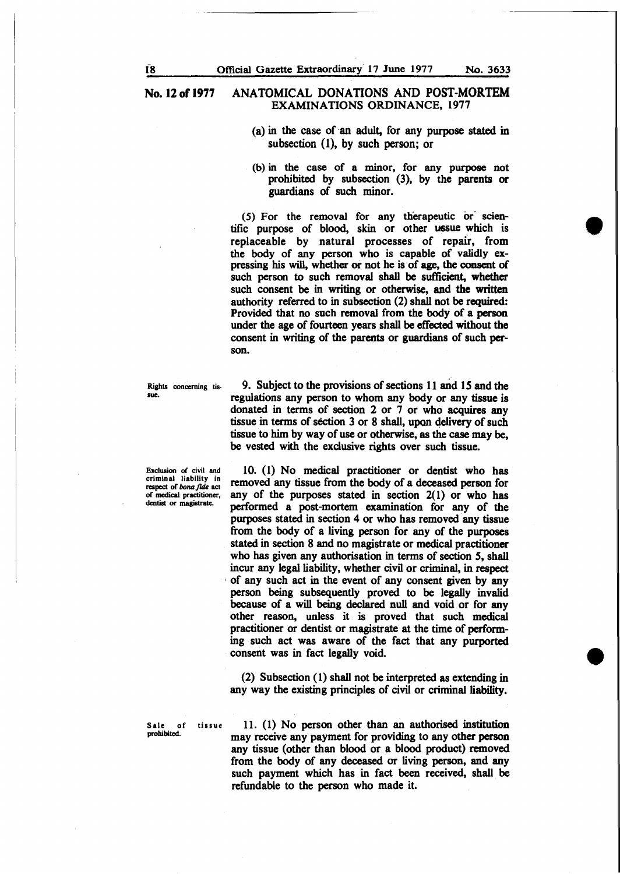- (a) in the case of an adult, for any purpose stated in subsection (1), by such person; or
- (b) in the case of a minor, for any purpose not prohibited by subsection (3), by the parents or guardians of such minor.

 $(5)$  For the removal for any therapeutic or scientific purpose of blood, skin or other ussue which is replaceable by natural processes of repair, from the body of any person who is capable of validly expressing his will, whether or not he is of age, the consent of such person to such removal shall be sufficient, whether such consent be in writing or otherwise, and the written authority referred to in subsection (2) shall not be required: Provided that no such removal from the body of a person under the age of fourteen years shall be effected without the consent in writing of the parents or guardians of such person.

Rights concerning tissue.

9. Subject to the provisions of sections 11 and 15 and the regulations any person to whom any body or any tissue is donated in terms of section 2 or 7 or who acquires any tissue in terms of section 3 or 8 shall, upon delivery of such tissue to him by way of use or otherwise, as the case may be, be vested with the exclusive rights over such tissue.

10. (1) No medical practitioner or dentist who has removed any tissue from the body of a deceased person for any of the purposes stated in section 2(1) or who has performed a post-mortem examination for any of the purposes stated in section 4 or who has removed any tissue from the body of a living person for any of the purposes stated in section 8 and no magistrate or medical practitioner who has given any authorisation in terms of section 5, shall incur any legal liability, whether civil or criminal, in respect of any such act in the event of any consent given by any person being subsequently proved to be legally invalid because of a will being declared null and void or for any other reason, unless it is proved that such medical practitioner or dentist or magistrate at the time of performing such act was aware of the fact that any purported consent was in fact legally void

(2) Subsection (1) shall not be interpreted as extending in any way the existing principles of civil or criminal liability.

Sale of tissue  $11.$  (1) No person other than an authorised institution<br>prohibited. may receive any payment for providing to any other person any tissue (other than blood or a blood product) removed from the body of any deceased or living person, and any such payment which has in fact been received, shall be refundable to the person who made it.

Exclusion of civil and criminal liability in respect of bona fide act of medical practitioner, dentist or magistrate.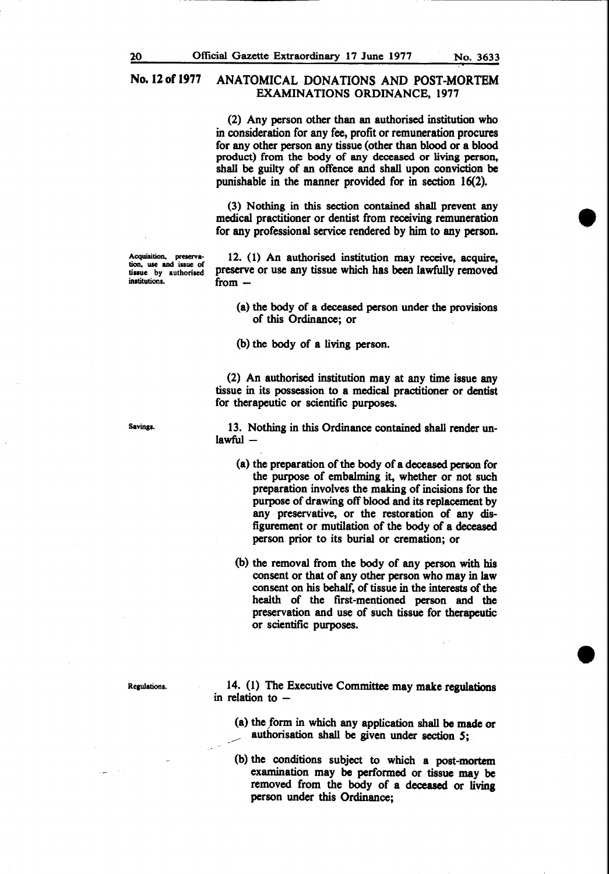(2) Any person other than an authorised institution who in consideration for any fee, profit or remuneration procures for any other person any tissue (other than blood or a blood product) from the body of any deceased or living person, shall be guilty of an offence and shall upon conviction be punishable in the manner provided for in section 16(2).

(3) Nothing in this section contained shall prevent any medical practitioner or dentist from receiving remuneration for any professional service rendered by him to any person.

Acquisition, preserva-<br>tion, use and issue of tissue by authorised institutions.

12. (1) An authorised institution may receive, acquire, preserve or use any tissue which has been lawfully removed from  $-$ 

(a) the body of a deceased person under the provisions of this Ordinance; or

(b) the body of a living person.

(2) An authorised institution may at any time issue any tissue in its possession to a medical practitioner or dentist for therapeutic or scientific purposes.

13. Nothing in this Ordinance contained shall render un $lawful-$ 

(a) the preparation of the body of a deceased person for the purpose of embalming it, whether or not such preparation involves the making of incisions for the purpose of drawing off blood and its replacement by any preservative, or the restoration of any disfigurement or mutilation of the body of a deceased person prior to its burial or cremation; or

(b) the removal from the body of any person with his consent or that of any other person who may in law consent on his behalf, of tissue in the interests of the health of the first-mentioned person and the preservation and use of such tissue for therapeutic or scientific purposes.

14. (1) The Executive Committee may make regulations in relation to  $-$ 

- (a) the form in which any application shall be made or \_\_\_\_ authorisation shall be given under section *S;*
- (b) the conditions subject to which a post-mortem examination may be performed or tissue may be removed from the body of a deceased or living person under this Ordinance;

Savings.

Regulations.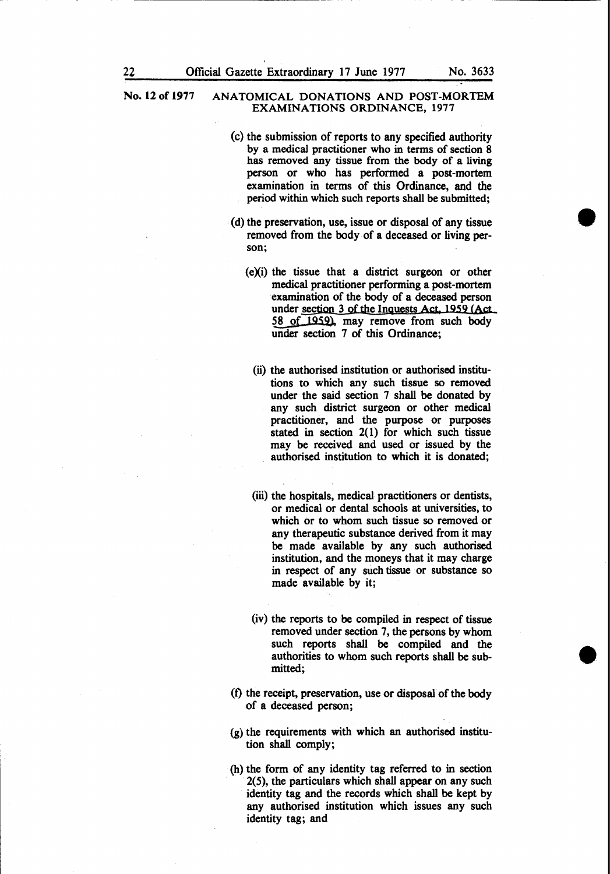- (c) the submission of reports to any specified authority by a medical practitioner who in terms of section 8 has removed any tissue from the body of a living person or who has performed a post-mortem examination in terms of this Ordinance, and the period within which such reports shall be submitted;
- (d) the preservation, use, issue or disposal of any tissue removed from the body of a deceased or living person;
	- $(e)(i)$  the tissue that a district surgeon or other medical practitioner performing a post-mortem examination of the body of a deceased person under section 3 of the lnguests Act, 1959 (Act 58 of 1959), may remove from such body under section 7 of this Ordinance;
		- (ii) the authorised institution or authorised institutions to which any such tissue so removed under the said section 7 shall be donated by any such district surgeon or other medical practitioner, and the purpose or purposes stated in section  $2(1)$  for which such tissue may be received and used or issued by the authorised institution to which it is donated;
		- (iii) the hospitals, medical practitioners or dentists, or medical or dental schools at universities, to which or to whom such tissue so removed or any therapeutic substance derived from it may be made available by any such authorised institution, and the moneys that it may charge in respect of any such tissue or substance so made available by it;
		- (iv) the reports to be compiled in respect of tissue removed under section 7, the persons by whom such reports shall be compiled and the authorities to whom such reports shall be submitted;
- (f) the receipt, preservation, use or disposal of the body of a deceased person;
- (g) the requirements with which an authorised institution shall comply;
- (h) the form of any identity tag referred to in section 2(5), the particulars which shall appear on any such identity tag and the records which shall be kept by any authorised institution which issues any such identity tag; and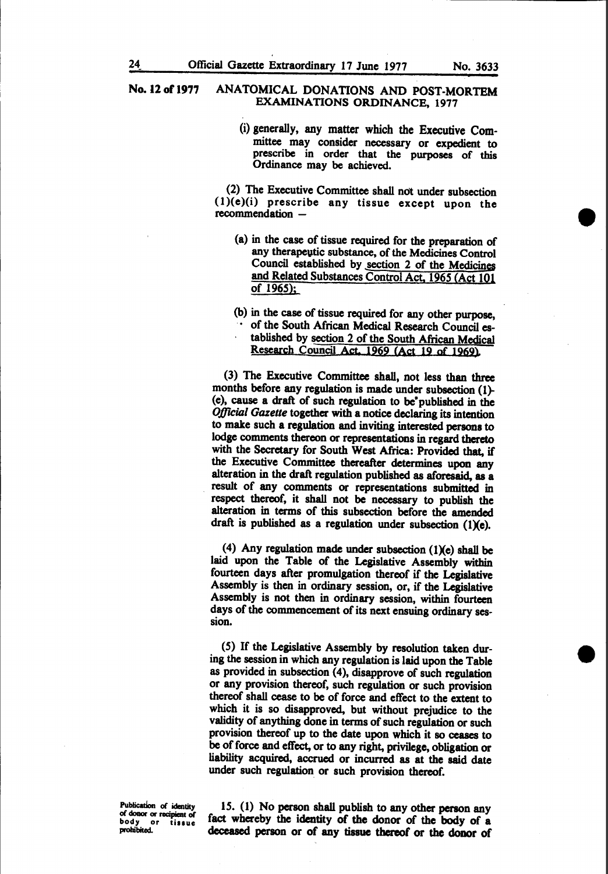(i) generally, any matter which the Executive Committee may consider necessary or expedient to prescribe in order that the purposes of this Ordinance may be achieved.

(2) The Executive Committee shall not under subsection  $(1)(e)(i)$  prescribe any tissue except upon the recommendation -

- (a) in the case of tissue required for the preparation of any therapeutic substance, of the Medicines Control Council established by section 2 of the Medicines and Related Substances Control Act, 1965 (Act 101 of 1965);
- (b) in the case of tissue required for any other purpose,
- of the South African Medical Research Council established by section 2 of the South African Medical Research Council Act. 1969 (Act 19 of 1969).

(3) The Executive Committee shall, not less than three months before any regulation is made under subsection (1)- (e), cause a draft of such regulation to be•published in the *Official Gazette* together with a notice declaring its intention to make such a regulation and inviting interested persons to lodge comments thereon or representations in regard thereto with the Secretary for South West Africa: Provided that, if the Executive Committee thereafter determines upon any alteration in the draft regulation published as aforesaid, as a result of any comments or representations submitted in respect thereof, it shall not be necessary to publish the alteration in terms of this subsection before the amended draft is published as a regulation under subsection  $(1)(e)$ .

(4) Any regulation made under subsection (1)(e) shall be laid upon the Table of the Legislative Assembly within fourteen days after promulgation thereof if the Legislative Assembly is then in ordinary session, or, if the Legislative Assembly is not then in ordinary session, within fourteen days of the commencement of its next ensuing ordinary session.

(5) If the Legislative Assembly by resolution taken during the session in which any regulation is laid upon the Table as provided in subsection (4), disapprove of such regulation or any provision thereof, such regulation or such provision thereof shall cease to be of force and effect to the extent to which it is so disapproved, but without prejudice to the validity of anything done in terms of such regulation or such provision thereof up to the date upon which it so ceases to be of force and effect, or to any right, privilege, obligation or liability acquired, accrued or incurred as at the said date under such regulation or such provision thereof.

Publication of identity of donor or recipient of<br>body or tissue body or tissue<br>prohibited.

15. (1) No person shall publish to any other person any fact whereby the identity of the donor of the body of a deceased person or of any tissue thereof or the donor of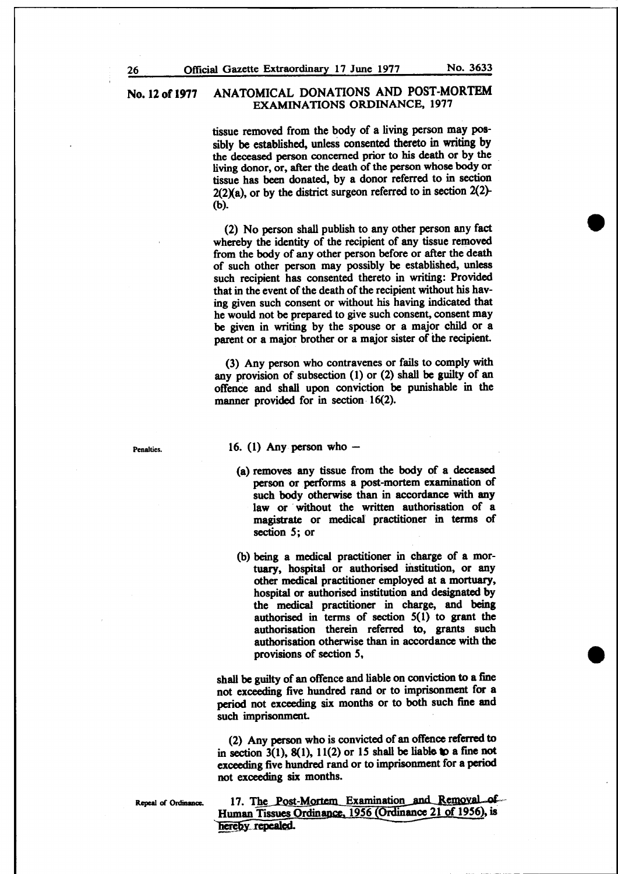tissue removed from the body of a living person may possibly be established, unless consented thereto in writing by the deceased person concerned prior to his death or by the living donor, or, after the death of the person whose body or tissue has been donated, by a donor referred to in section  $2(2)(a)$ , or by the district surgeon referred to in section  $2(2)$ -(b).

(2) No person shall publish to any other person any fact whereby the identity of the recipient of any tissue removed from the body of any other person before or after the death of such other person may possibly be established, unless such recipient has consented thereto in writing: Provided that in the event of the death of the recipient without his having given such consent or without his having indicated that he would not be prepared to give such consent, consent may be given in writing by the spouse or a major child or a parent or a major brother or a major sister of the recipient.

(3) Any person who contravenes or fails to comply with any provision of subsection (1) or (2) shall be guilty of an offenCe and shall upon conviction be punishable in the manner provided for in section 16(2).

Penalties.

#### 16. (1) Any person who  $-$

- (a) removes any tissue from the body of a deceased person or performs a post-mortem examination of such body otherwise than in accordance with any law or without the written authorisation of a magistrate or medical practitioner in terms of section 5; or
- (b) being a medical practitioner in charge of a mortuary, hospital or authorised institution, or any other medical practitioner employed at a mortuary, hospital or authorised institution and designated by the medical practitioner in charge, and being authorised in terms of section  $5(1)$  to grant the authorisation therein referred to, grants such authorisation otherwise than in accordance with the provisions of section 5,

shall be guilty of an offence and liable on conviction to a fine not exceeding five hundred rand or to imprisonment for a period not exceeding six months or to both such fine and such imprisonment.

(2) Any person who is convicted of an offence referred to in section 3(1), 8(1), 11(2) or 15 shall be liable to a fine not exceeding five hundred rand or to imprisonment for a period not exceeding six months.

Repeal of Ordinance.

17. The Post-Mortem Examination and Removal of Human Tissues Ordinance, 1956 (Ordinance 21 of 1956), is hereby repealed.